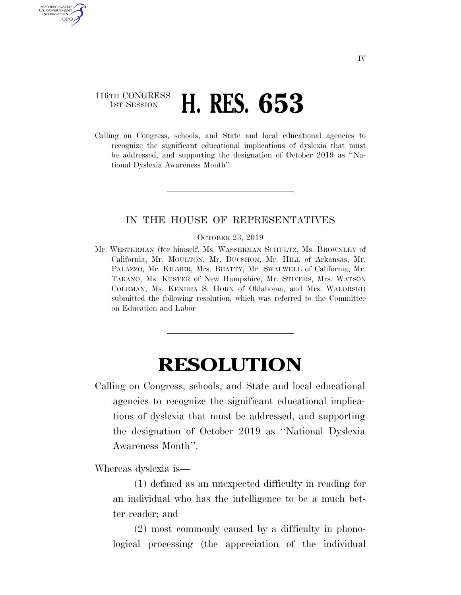## 116TH CONGRESS **1st Session H. RES. 653**

U.S. GOVERNMENT GPO

> Calling on Congress, schools, and State and local educational agencies to recognize the significant educational implications of dyslexia that must be addressed, and supporting the designation of October 2019 as ''National Dyslexia Awareness Month''.

## IN THE HOUSE OF REPRESENTATIVES

OCTOBER 23, 2019

Mr. WESTERMAN (for himself, Ms. WASSERMAN SCHULTZ, Ms. BROWNLEY of California, Mr. MOULTON, Mr. BUCSHON, Mr. HILL of Arkansas, Mr. PALAZZO, Mr. KILMER, Mrs. BEATTY, Mr. SWALWELL of California, Mr. TAKANO, Ms. KUSTER of New Hampshire, Mr. STIVERS, Mrs. WATSON COLEMAN, Ms. KENDRA S. HORN of Oklahoma, and Mrs. WALORSKI) submitted the following resolution; which was referred to the Committee on Education and Labor

## **RESOLUTION**

Calling on Congress, schools, and State and local educational agencies to recognize the significant educational implications of dyslexia that must be addressed, and supporting the designation of October 2019 as ''National Dyslexia Awareness Month''.

Whereas dyslexia is—

(1) defined as an unexpected difficulty in reading for an individual who has the intelligence to be a much better reader; and

(2) most commonly caused by a difficulty in phonological processing (the appreciation of the individual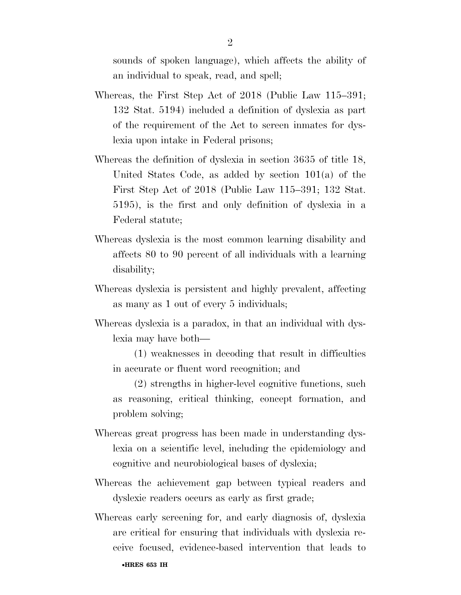sounds of spoken language), which affects the ability of an individual to speak, read, and spell;

- Whereas, the First Step Act of 2018 (Public Law 115–391; 132 Stat. 5194) included a definition of dyslexia as part of the requirement of the Act to screen inmates for dyslexia upon intake in Federal prisons;
- Whereas the definition of dyslexia in section 3635 of title 18, United States Code, as added by section 101(a) of the First Step Act of 2018 (Public Law 115–391; 132 Stat. 5195), is the first and only definition of dyslexia in a Federal statute;
- Whereas dyslexia is the most common learning disability and affects 80 to 90 percent of all individuals with a learning disability;
- Whereas dyslexia is persistent and highly prevalent, affecting as many as 1 out of every 5 individuals;
- Whereas dyslexia is a paradox, in that an individual with dyslexia may have both—

(1) weaknesses in decoding that result in difficulties in accurate or fluent word recognition; and

(2) strengths in higher-level cognitive functions, such as reasoning, critical thinking, concept formation, and problem solving;

- Whereas great progress has been made in understanding dyslexia on a scientific level, including the epidemiology and cognitive and neurobiological bases of dyslexia;
- Whereas the achievement gap between typical readers and dyslexic readers occurs as early as first grade;
- Whereas early screening for, and early diagnosis of, dyslexia are critical for ensuring that individuals with dyslexia receive focused, evidence-based intervention that leads to